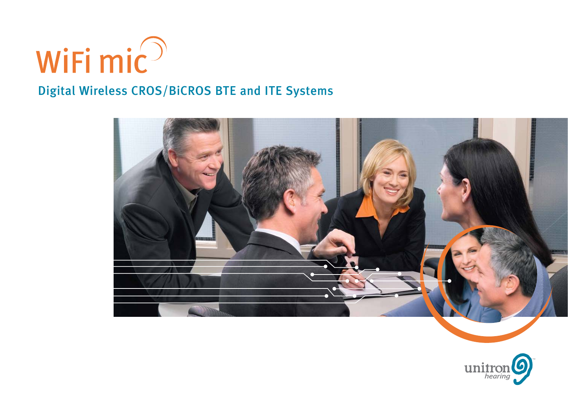

# Digital Wireless CROS/BiCROS BTE and ITE Systems



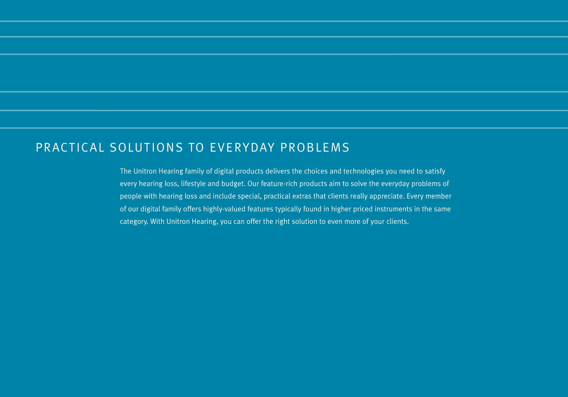## PRACTICAL SOLUTIONS TO EVERYDAY PROBLEMS

The Unitron Hearing family of digital products delivers the choices and technologies you need to satisfy every hearing loss, lifestyle and budget. Our feature-rich products aim to solve the everyday problems of people with hearing loss and include special, practical extras that clients really appreciate. Every member of our digital family offers highly-valued features typically found in higher priced instruments in the same category. With Unitron Hearing, you can offer the right solution to even more of your clients.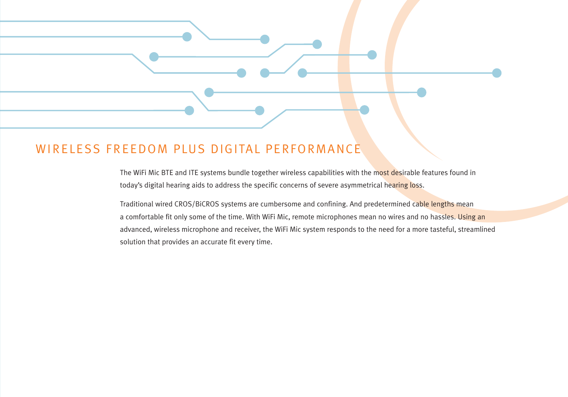## WIRELESS FREEDOM PLUS DIGITAL PERFORMANCE

The WiFi Mic BTE and ITE systems bundle together wireless capabilities with the most desirable features found in today's digital hearing aids to address the specific concerns of severe asymmetrical hearing loss.

Traditional wired CROS/BiCROS systems are cumbersome and confining. And predetermined cable lengths mean a comfortable fit only some of the time. With WiFi Mic, remote microphones mean no wires and no hassles. Using an advanced, wireless microphone and receiver, the WiFi Mic system responds to the need for a more tasteful, streamlined solution that provides an accurate fit every time.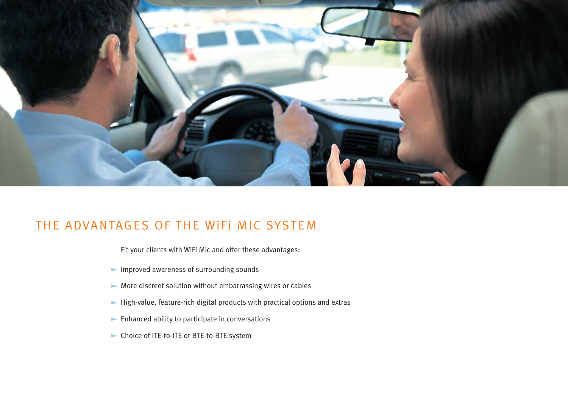

## THE ADVANTAGES OF THE WiFi MIC SYSTEM

Fit your clients with WiFi Mic and offer these advantages:

- Improved awareness of surrounding sounds
- $\blacktriangleright$  More discreet solution without embarrassing wires or cables
- $\blacktriangleright$  High-value, feature-rich digital products with practical options and extras
- $\blacktriangleright$  Enhanced ability to participate in conversations
- Choice of ITE-to-ITE or BTE-to-BTE system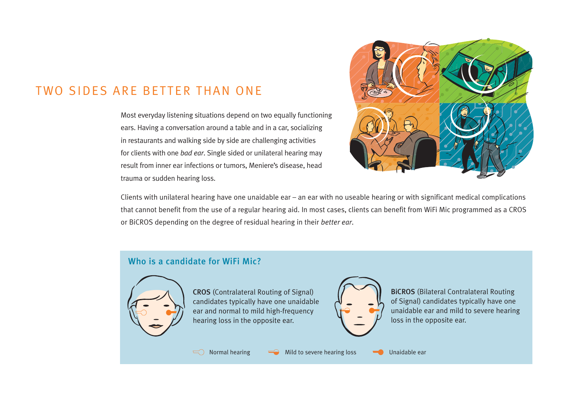## TWO SIDES ARE BETTER THAN ONE

Most everyday listening situations depend on two equally functioning ears. Having a conversation around a table and in a car, socializing in restaurants and walking side by side are challenging activities for clients with one *bad ear*. Single sided or unilateral hearing may result from inner ear infections or tumors, Meniere's disease, head trauma or sudden hearing loss.



Clients with unilateral hearing have one unaidable ear – an ear with no useable hearing or with significant medical complications that cannot benefit from the use of a regular hearing aid. In most cases, clients can benefit from WiFi Mic programmed as a CROS or BiCROS depending on the degree of residual hearing in their *better ear*.

#### Who is a candidate for WiFi Mic?



CROS (Contralateral Routing of Signal) candidates typically have one unaidable ear and normal to mild high-frequency hearing loss in the opposite ear.



BiCROS (Bilateral Contralateral Routing of Signal) candidates typically have one unaidable ear and mild to severe hearing loss in the opposite ear.

 $\Box$  Normal hearing  $\Box$  Mild to severe hearing loss  $\Box$  Unaidable ear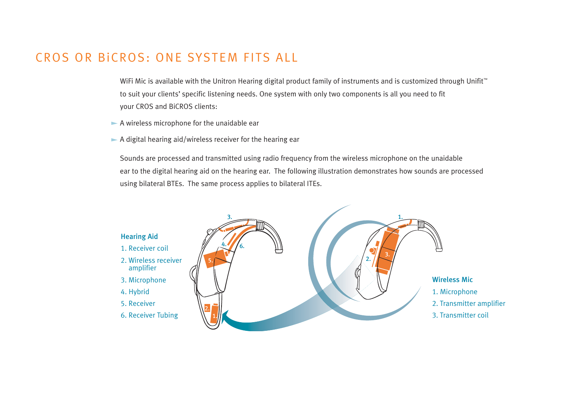## CROS OR BiCROS: ONE SYSTEM FITS ALL

WiFi Mic is available with the Unitron Hearing digital product family of instruments and is customized through Unifit™ to suit your clients' specific listening needs. One system with only two components is all you need to fit your CROS and BiCROS clients:

- A wireless microphone for the unaidable ear
- $\blacktriangleright$  A digital hearing aid/wireless receiver for the hearing ear

Sounds are processed and transmitted using radio frequency from the wireless microphone on the unaidable ear to the digital hearing aid on the hearing ear. The following illustration demonstrates how sounds are processed using bilateral BTEs. The same process applies to bilateral ITEs.

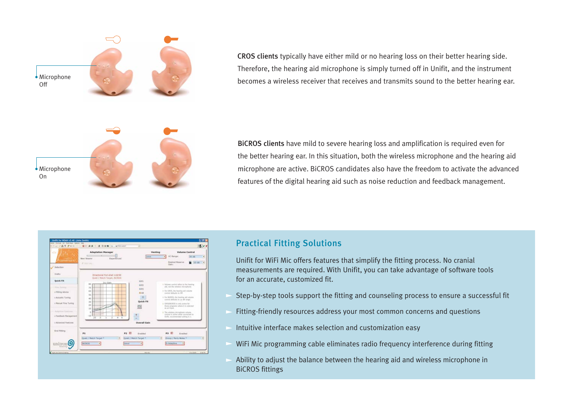

CROS clients typically have either mild or no hearing loss on their better hearing side. Therefore, the hearing aid microphone is simply turned off in Unifit, and the instrument becomes a wireless receiver that receives and transmits sound to the better hearing ear.

BiCROS clients have mild to severe hearing loss and amplification is required even for the better hearing ear. In this situation, both the wireless microphone and the hearing aid microphone are active. BiCROS candidates also have the freedom to activate the advanced features of the digital hearing aid such as noise reduction and feedback management.



#### Practical Fitting Solutions

Unifit for WiFi Mic offers features that simplify the fitting process. No cranial measurements are required. With Unifit, you can take advantage of software tools for an accurate, customized fit.

- Step-by-step tools support the fitting and counseling process to ensure a successful fit
- Fitting-friendly resources address your most common concerns and questions
- Intuitive interface makes selection and customization easy
- WiFi Mic programming cable eliminates radio frequency interference during fitting
- Ability to adjust the balance between the hearing aid and wireless microphone in BiCROS fittings